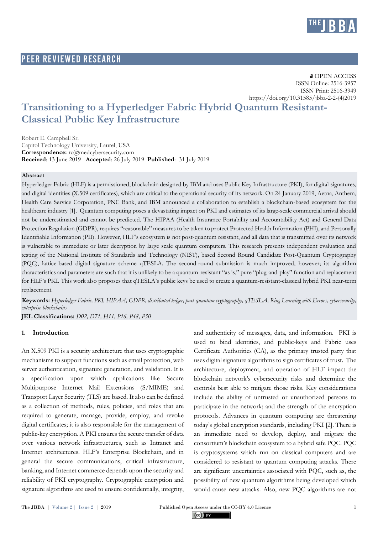

## **PEER REVIEWED RESEARCH**

**& OPEN ACCESS**  ISSN Online: 2516-3957 ISSN Print: 2516-3949 https://doi.org/10.31585/jbba-2-2-(4)2019

# **Transitioning to a Hyperledger Fabric Hybrid Quantum Resistant-Classical Public Key Infrastructure**

Robert E. Campbell Sr. Capitol Technology University, Laurel, USA **Correspondence:** rc@medcybersecurity.com **Received**: 13 June 2019 **Accepted**: 26 July 2019 **Published**: 31 July 2019

#### **Abstract**

Hyperledger Fabric (HLF) is a permissioned, blockchain designed by IBM and uses Public Key Infrastructure (PKI), for digital signatures, and digital identities (X.509 certificates), which are critical to the operational security of its network. On 24 January 2019, Aetna, Anthem, Health Care Service Corporation, PNC Bank, and IBM announced a collaboration to establish a blockchain-based ecosystem for the healthcare industry [1]. Quantum computing poses a devastating impact on PKI and estimates of its large-scale commercial arrival should not be underestimated and cannot be predicted. The HIPAA (Health Insurance Portability and Accountability Act) and General Data Protection Regulation (GDPR), requires "reasonable" measures to be taken to protect Protected Health Information (PHI), and Personally Identifiable Information (PII). However, HLF's ecosystem is not post-quantum resistant, and all data that is transmitted over its network is vulnerable to immediate or later decryption by large scale quantum computers. This research presents independent evaluation and testing of the National Institute of Standards and Technology (NIST), based Second Round Candidate Post-Quantum Cryptography (PQC), lattice-based digital signature scheme qTESLA. The second-round submission is much improved, however; its algorithm characteristics and parameters are such that it is unlikely to be a quantum-resistant "as is," pure "plug-and-play" function and replacement for HLF's PKI. This work also proposes that qTESLA's public keys be used to create a quantum-resistant-classical hybrid PKI near-term replacement.

**Keywords:** *Hyperledger Fabric, PKI, HIPAA, GDPR, distributed ledger, post-quantum cryptography, qTESLA, Ring Learning with Errors, cybersecurity, enterprise blockchains*

**JEL Classifications:** *D02, D71, H11, P16, P48, P50*

#### **1. Introduction**

An X.509 PKI is a security architecture that uses cryptographic mechanisms to support functions such as email protection, web server authentication, signature generation, and validation. It is a specification upon which applications like Secure Multipurpose Internet Mail Extensions (S/MIME) and Transport Layer Security (TLS) are based. It also can be defined as a collection of methods, rules, policies, and roles that are required to generate, manage, provide, employ, and revoke digital certificates; it is also responsible for the management of public-key encryption. A PKI ensures the secure transfer of data over various network infrastructures, such as Intranet and Internet architectures. HLF's Enterprise Blockchain, and in general the secure communications, critical infrastructure, banking, and Internet commerce depends upon the security and reliability of PKI cryptography. Cryptographic encryption and signature algorithms are used to ensure confidentially, integrity, and authenticity of messages, data, and information. PKI is used to bind identities, and public-keys and Fabric uses Certificate Authorities (CA), as the primary trusted party that uses digital signature algorithms to sign certificates of trust. The architecture, deployment, and operation of HLF impact the blockchain network's cybersecurity risks and determine the controls best able to mitigate those risks. Key considerations include the ability of untrusted or unauthorized persons to participate in the network; and the strength of the encryption protocols. Advances in quantum computing are threatening today's global encryption standards, including PKI [2]. There is an immediate need to develop, deploy, and migrate the consortium's blockchain ecosystem to a hybrid safe PQC. PQC is cryptosystems which run on classical computers and are considered to resistant to quantum computing attacks. There are significant uncertainties associated with PQC, such as, the possibility of new quantum algorithms being developed which would cause new attacks. Also, new PQC algorithms are not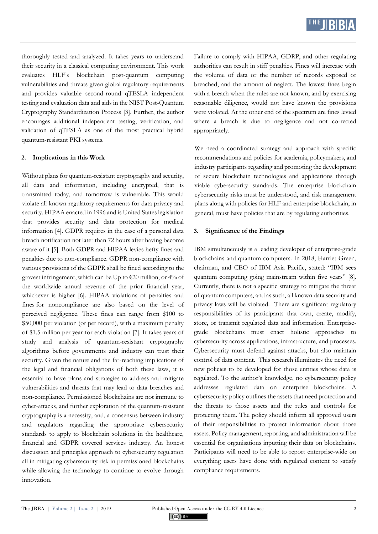

thoroughly tested and analyzed. It takes years to understand their security in a classical computing environment. This work evaluates HLF's blockchain post-quantum computing vulnerabilities and threats given global regulatory requirements and provides valuable second-round qTESLA independent testing and evaluation data and aids in the NIST Post-Quantum Cryptography Standardization Process [3]. Further, the author encourages additional independent testing, verification, and validation of qTESLA as one of the most practical hybrid quantum-resistant PKI systems.

#### **2. Implications in this Work**

Without plans for quantum-resistant cryptography and security, all data and information, including encrypted, that is transmitted today, and tomorrow is vulnerable. This would violate all known regulatory requirements for data privacy and security. HIPAA enacted in 1996 and is United States legislation that provides security and data protection for medical information [4]. GDPR requires in the case of a personal data breach notification not later than 72 hours after having become aware of it [5]. Both GDPR and HIPAA levies hefty fines and penalties due to non-compliance. GDPR non-compliance with various provisions of the GDPR shall be fined according to the gravest infringement, which can be Up to €20 million, or 4% of the worldwide annual revenue of the prior financial year, whichever is higher [6]. HIPAA violations of penalties and fines for noncompliance are also based on the level of perceived negligence. These fines can range from \$100 to \$50,000 per violation (or per record), with a maximum penalty of \$1.5 million per year for each violation [7]. It takes years of study and analysis of quantum-resistant cryptography algorithms before governments and industry can trust their security. Given the nature and the far-reaching implications of the legal and financial obligations of both these laws, it is essential to have plans and strategies to address and mitigate vulnerabilities and threats that may lead to data breaches and non-compliance. Permissioned blockchains are not immune to cyber-attacks, and further exploration of the quantum-resistant cryptography is a necessity, and, a consensus between industry and regulators regarding the appropriate cybersecurity standards to apply to blockchain solutions in the healthcare, financial and GDPR covered services industry. An honest discussion and principles approach to cybersecurity regulation all in mitigating cybersecurity risk in permissioned blockchains while allowing the technology to continue to evolve through innovation.

Failure to comply with HIPAA, GDRP, and other regulating authorities can result in stiff penalties. Fines will increase with the volume of data or the number of records exposed or breached, and the amount of neglect. The lowest fines begin with a breach when the rules are not known, and by exercising reasonable diligence, would not have known the provisions were violated. At the other end of the spectrum are fines levied where a breach is due to negligence and not corrected appropriately.

We need a coordinated strategy and approach with specific recommendations and policies for academia, policymakers, and industry participants regarding and promoting the development of secure blockchain technologies and applications through viable cybersecurity standards. The enterprise blockchain cybersecurity risks must be understood, and risk management plans along with policies for HLF and enterprise blockchain, in general, must have policies that are by regulating authorities.

#### **3. Significance of the Findings**

IBM simultaneously is a leading developer of enterprise-grade blockchains and quantum computers. In 2018, Harriet Green, chairman, and CEO of IBM Asia Pacific, stated: "IBM sees quantum computing going mainstream within five years" [8]. Currently, there is not a specific strategy to mitigate the threat of quantum computers, and as such, all known data security and privacy laws will be violated. There are significant regulatory responsibilities of its participants that own, create, modify, store, or transmit regulated data and information. Enterprisegrade blockchains must enact holistic approaches to cybersecurity across applications, infrastructure, and processes. Cybersecurity must defend against attacks, but also maintain control of data content. This research illuminates the need for new policies to be developed for those entities whose data is regulated. To the author's knowledge, no cybersecurity policy addresses regulated data on enterprise blockchains. A cybersecurity policy outlines the assets that need protection and the threats to those assets and the rules and controls for protecting them. The policy should inform all approved users of their responsibilities to protect information about those assets. Policy management, reporting, and administration will be essential for organisations inputting their data on blockchains. Participants will need to be able to report enterprise-wide on everything users have done with regulated content to satisfy compliance requirements.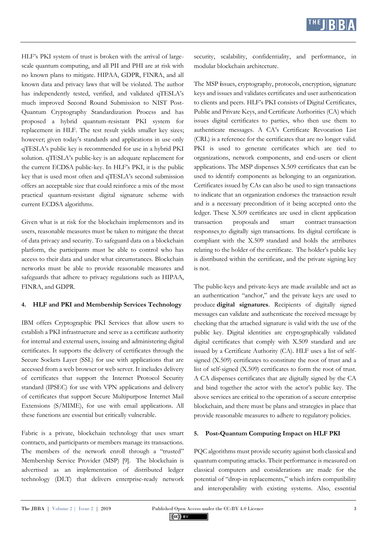

HLF's PKI system of trust is broken with the arrival of largescale quantum computing, and all PII and PHI are at risk with no known plans to mitigate. HIPAA, GDPR, FINRA, and all known data and privacy laws that will be violated. The author has independently tested, verified, and validated qTESLA's much improved Second Round Submission to NIST Post-Quantum Cryptography Standardization Process and has proposed a hybrid quantum-resistant PKI system for replacement in HLF. The test result yields smaller key sizes; however; given today's standards and applications in use only qTESLA's public key is recommended for use in a hybrid PKI solution. qTESLA's public-key is an adequate replacement for the current ECDSA public-key. In HLF's PKI, it is the public key that is used most often and qTESLA's second submission offers an acceptable size that could reinforce a mix of the most practical quantum-resistant digital signature scheme with current ECDSA algorithms.

Given what is at risk for the blockchain implementors and its users, reasonable measures must be taken to mitigate the threat of data privacy and security. To safeguard data on a blockchain platform, the participants must be able to control who has access to their data and under what circumstances. Blockchain networks must be able to provide reasonable measures and safeguards that adhere to privacy regulations such as HIPAA, FINRA, and GDPR.

#### **4. HLF and PKI and Membership Services Technology**

IBM offers Cryptographic PKI Services that allow users to establish a PKI infrastructure and serve as a certificate authority for internal and external users, issuing and administering digital certificates. It supports the delivery of certificates through the Secure Sockets Layer (SSL) for use with applications that are accessed from a web browser or web server. It includes delivery of certificates that support the Internet Protocol Security standard (IPSEC) for use with VPN applications and delivery of certificates that support Secure Multipurpose Internet Mail Extensions (S/MIME), for use with email applications. All these functions are essential but critically vulnerable.

Fabric is a private, blockchain technology that uses smart contracts, and participants or members manage its transactions. The members of the network enroll through a "trusted" Membership Service Provider (MSP) [9]. The blockchain is advertised as an implementation of distributed ledger technology (DLT) that delivers enterprise-ready network security, scalability, confidentiality, and performance, in modular blockchain architecture.

The MSP **i**ssues, cryptography, protocols, encryption, signature keys and issues and validates certificates and user authentication to clients and peers. HLF's PKI consists of Digital Certificates, Public and Private Keys, and Certificate Authorities (CA) which issues digital certificates to parties, who then use them to authenticate messages. A CA's Certificate Revocation List (CRL) is a reference for the certificates that are no longer valid. PKI is used to generate certificates which are tied to organizations, network components, and end-users or client applications. The MSP dispenses X.509 certificates that can be used to identify components as belonging to an organization. Certificates issued by CAs can also be used to sign transactions to indicate that an organization endorses the transaction result and is a necessary precondition of it being accepted onto the ledger. These X.509 certificates are used in client application [transaction proposals](https://hyperledger-fabric.readthedocs.io/en/release-1.4/glossary.html#proposal) and smart contract [transaction](https://hyperledger-fabric.readthedocs.io/en/release-1.4/glossary.html#response)  [responses](https://hyperledger-fabric.readthedocs.io/en/release-1.4/glossary.html#response) to digitally sign [transactions.](https://hyperledger-fabric.readthedocs.io/en/release-1.4/glossary.html#transaction) Its digital certificate is compliant with the X.509 standard and holds the attributes relating to the holder of the certificate. The holder's public key is distributed within the certificate, and the private signing key is not.

The public-keys and private-keys are made available and act as an authentication "anchor," and the private keys are used to produce **digital signatures**. Recipients of digitally signed messages can validate and authenticate the received message by checking that the attached signature is valid with the use of the public key. Digital identities are cryptographically validated digital certificates that comply with X.509 standard and are issued by a Certificate Authority (CA). HLF uses a list of selfsigned (X.509) certificates to constitute the root of trust and a list of self-signed (X.509) certificates to form the root of trust. A CA dispenses certificates that are digitally signed by the CA and bind together the actor with the actor's public key. The above services are critical to the operation of a secure enterprise blockchain, and there must be plans and strategies in place that provide reasonable measures to adhere to regulatory policies.

#### **5. Post-Quantum Computing Impact on HLF PKI**

PQC algorithms must provide security against both classical and quantum computing attacks. Their performance is measured on classical computers and considerations are made for the potential of "drop-in replacements," which infers compatibility and interoperability with existing systems. Also, essential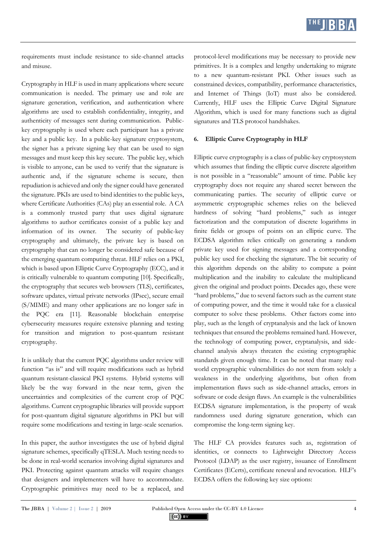

requirements must include resistance to side-channel attacks and misuse.

Cryptography in HLF is used in many applications where secure communication is needed. The primary use and role are signature generation, verification, and authentication where algorithms are used to establish confidentiality, integrity, and authenticity of messages sent during communication. Publickey cryptography is used where each participant has a private key and a public key. In a public-key signature cryptosystem, the signer has a private signing key that can be used to sign messages and must keep this key secure. The public key, which is visible to anyone, can be used to verify that the signature is authentic and, if the signature scheme is secure, then repudiation is achieved and only the signer could have generated the signature. PKIs are used to bind identities to the public keys, where Certificate Authorities (CAs) play an essential role. A CA is a commonly trusted party that uses digital signature algorithms to author certificates consist of a public key and information of its owner. The security of public-key cryptography and ultimately, the private key is based on cryptography that can no longer be considered safe because of the emerging quantum computing threat. HLF relies on a PKI, which is based upon Elliptic Curve Cryptography (ECC), and it is critically vulnerable to quantum computing [10]. Specifically, the cryptography that secures web browsers (TLS), certificates, software updates, virtual private networks (IPsec), secure email (S/MIME) and many other applications are no longer safe in the PQC era [11]. Reasonable blockchain enterprise cybersecurity measures require extensive planning and testing for transition and migration to post-quantum resistant cryptography.

It is unlikely that the current PQC algorithms under review will function "as is" and will require modifications such as hybrid quantum resistant-classical PKI systems. Hybrid systems will likely be the way forward in the near term, given the uncertainties and complexities of the current crop of PQC algorithms. Current cryptographic libraries will provide support for post-quantum digital signature algorithms in PKI but will require some modifications and testing in large-scale scenarios.

In this paper, the author investigates the use of hybrid digital signature schemes, specifically qTESLA. Much testing needs to be done in real-world scenarios involving digital signatures and PKI. Protecting against quantum attacks will require changes that designers and implementers will have to accommodate. Cryptographic primitives may need to be a replaced, and protocol-level modifications may be necessary to provide new primitives. It is a complex and lengthy undertaking to migrate to a new quantum-resistant PKI. Other issues such as constrained devices, compatibility, performance characteristics, and Internet of Things (IoT) must also be considered. Currently, HLF uses the Elliptic Curve Digital Signature Algorithm, which is used for many functions such as digital signatures and TLS protocol handshakes.

### **6. Elliptic Curve Cryptography in HLF**

Elliptic curve cryptography is a class of public-key cryptosystem which assumes that finding the elliptic curve discrete algorithm is not possible in a "reasonable" amount of time. Public key cryptography does not require any shared secret between the communicating parties. The security of elliptic curve or asymmetric cryptographic schemes relies on the believed hardness of solving "hard problems," such as integer factorization and the computation of discrete logarithms in finite fields or groups of points on an elliptic curve. The ECDSA algorithm relies critically on generating a random private key used for signing messages and a corresponding public key used for checking the signature. The bit security of this algorithm depends on the ability to compute a point multiplication and the inability to calculate the multiplicand given the original and product points. Decades ago, these were "hard problems," due to several factors such as the current state of computing power, and the time it would take for a classical computer to solve these problems. Other factors come into play, such as the length of cryptanalysis and the lack of known techniques that ensured the problems remained hard. However, the technology of computing power, cryptanalysis, and sidechannel analysis always threaten the existing cryptographic standards given enough time. It can be noted that many realworld cryptographic vulnerabilities do not stem from solely a weakness in the underlying algorithms, but often from implementation flaws such as side-channel attacks, errors in software or code design flaws. An example is the vulnerabilities ECDSA signature implementation, is the property of weak randomness used during signature generation, which can compromise the long-term signing key.

The HLF CA provides features such as, registration of identities, or connects to Lightweight Directory Access Protocol (LDAP) as the user registry, issuance of Enrollment Certificates (ECerts), certificate renewal and revocation. HLF's ECDSA offers the following key size options: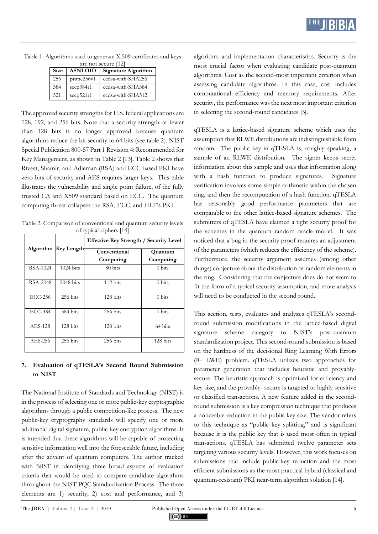| <b>Size</b> | <b>ASN1 OID</b> | Signature Algorithm |
|-------------|-----------------|---------------------|
| 256         | prime256v1      | ecdsa-with-SHA256   |
| 384         | secp384r1       | ecdsa-with-SHA384   |
| 521         | secp521r1       | ecdsa-with-SHA512   |

Table 1. Algorithms used to generate X.509 certificates and keys are not secure [12]

The approved security strengths for U.S. federal applications are 128, 192, and 256 bits. Note that a security strength of fewer than 128 bits is no longer approved because quantum algorithms reduce the bit security to 64 bits (see table 2). NIST Special Publication 800-57 Part 1 Revision 4: Recommended for Key Management, as shown in Table 2 [13]. Table 2 shows that Rivest, Shamir, and Adleman (RSA) and ECC based PKI have zero bits of security and AES requires larger keys. This table illustrates the vulnerability and single point failure, of the fully trusted CA and X509 standard based on ECC. The quantum computing threat collapses the RSA, ECC, and HLF's PKI.

Table 2. Comparison of conventional and quantum security levels of typical ciphers [14]

|                | Algorithm Key Length | Effective Key Strength / Security Level |                  |  |  |
|----------------|----------------------|-----------------------------------------|------------------|--|--|
|                |                      | Conventional                            | Quantum          |  |  |
|                |                      | Computing                               | Computing        |  |  |
| RSA-1024       | $1024 \text{ bits}$  | 80 bits                                 | $0 \text{ bits}$ |  |  |
| RSA-2048       | $2048$ bits          | 112 bits                                | $0 \text{ bits}$ |  |  |
| ECC-256        | 256 bits             | 128 bits                                | $0 \text{ bits}$ |  |  |
| <b>ECC-384</b> | 384 bits             | 256 bits                                | $0 \text{ bits}$ |  |  |
| AES-128        | 128 bits             | 128 bits                                | 64 bits          |  |  |
| AES-256        | 256 bits             | 256 bits                                | 128 bits         |  |  |

## **7. Evaluation of qTESLA's Second Round Submission to NIST**

The National Institute of Standards and Technology (NIST) is in the process of selecting one or more public-key cryptographic algorithms through a public competition-like process. The new public-key cryptography standards will specify one or more additional digital signature, public-key encryption algorithms. It is intended that these algorithms will be capable of protecting sensitive information well into the foreseeable future, including after the advent of quantum computers. The author tracked with NIST in identifying three broad aspects of evaluation criteria that would be used to compare candidate algorithms throughout the NIST PQC Standardization Process. The three elements are 1) security, 2) cost and performance, and 3)

algorithm and implementation characteristics. Security is the most crucial factor when evaluating candidate post-quantum algorithms. Cost as the second-most important criterion when assessing candidate algorithms. In this case, cost includes computational efficiency and memory requirements. After security, the performance was the next most important criterion in selecting the second-round candidates [3].

qTESLA is a lattice-based signature scheme which uses the assumption that RLWE distributions are indistinguishable from random. The public key in qTESLA is, roughly speaking, a sample of an RLWE distribution. The signer keeps secret information about this sample and uses that information along with a hash function to produce signatures. Signature verification involves some simple arithmetic within the chosen ring, and then the recomputation of a hash function. qTESLA has reasonably good performance parameters that are comparable to the other lattice-based signature schemes. The submitters of qTESLA have claimed a tight security proof for the schemes in the quantum random oracle model. It was noticed that a bug in the security proof requires an adjustment of the parameters (which reduces the efficiency of the scheme). Furthermore, the security argument assumes (among other things) conjecture about the distribution of random elements in the ring. Considering that the conjecture does do not seem to fit the form of a typical security assumption, and more analysis will need to be conducted in the second round.

This section, tests, evaluates and analyzes qTESLA's secondround submission modifications in the lattice-based digital signature scheme category to NIST's post-quantum standardization project. This second-round submission is based on the hardness of the decisional Ring Learning With Errors (R- LWE) problem. qTESLA utilizes two approaches for parameter generation that includes heuristic and provablysecure. The heuristic approach is optimized for efficiency and key size, and the provably- secure is targeted to highly sensitive or classified transactions. A new feature added in the secondround submission is a key compression technique that produces a noticeable reduction in the public key size. The vendor refers to this technique as "public key splitting," and is significant because it is the public key that is used most often in typical transactions. qTESLA has submitted twelve parameter sets targeting various security levels. However, this work focuses on submissions that include public-key reduction and the most efficient submissions as the most practical hybrid (classical and quantum-resistant) PKI near-term algorithm solution [14].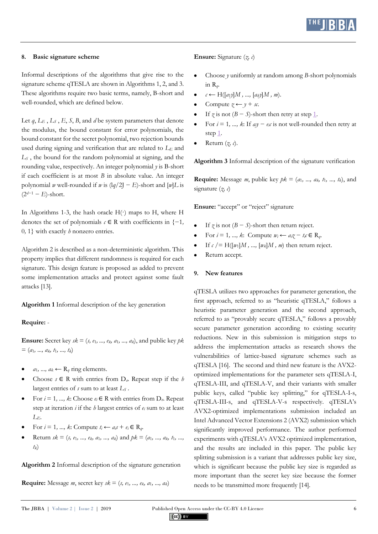

#### **8. Basic signature scheme**

Informal descriptions of the algorithms that give rise to the signature scheme qTESLA are shown in Algorithms 1, 2, and 3. These algorithms require two basic terms, namely, B-short and well-rounded, which are defined below.

Let  $q$ ,  $L_E$ ,  $L_S$ ,  $E$ ,  $S$ ,  $B$ , and  $d$  be system parameters that denote the modulus, the bound constant for error polynomials, the bound constant for the secret polynomial, two rejection bounds used during signing and verification that are related to *L<sup>E</sup>* and *L<sup>S</sup>* , the bound for the random polynomial at signing, and the rounding value, respectively. An integer polynomial *y* is B-short if each coefficient is at most *B* in absolute value. An integer polynomial *w* well-rounded if *w* is  $\left(\frac{1}{q}\right)^2 - E$ )-short and  $\left[\frac{w}{L}\right]$  is (2*d*−<sup>1</sup> − *E*)-short.

In Algorithms 1-3, the hash oracle  $H(·)$  maps to  $H$ , where  $H$ denotes the set of polynomials  $c \in \mathbb{R}$  with coefficients in  $\{-1,$ 0*,* 1} with exactly *h* nonzero entries.

Algorithm 2 is described as a non-deterministic algorithm. This property implies that different randomness is required for each signature. This design feature is proposed as added to prevent some implementation attacks and protect against some fault attacks [13].

**Algorithm 1** Informal description of the key generation

#### **Require:** -

**Ensure:** Secret key  $sk = (s, e_1, ..., e_k, a_1, ..., a_k)$ , and public key  $pk$ = (*a*1*, ..., ak, t*1*, ..., tk*)

- $a_1, ..., a_k \leftarrow R_q$  ring elements.
- Choose *s* ∈ R with entries from D*σ*. Repeat step if the *h*  largest entries of *s* sum to at least *L<sup>S</sup>* .
- For  $i = 1, ..., k$ : Choose  $e_i \in \mathbb{R}$  with entries from  $D_{\sigma}$ . Repeat step at iteration *i* if the *h* largest entries of *e<sup>i</sup>* sum to at least *LE*.
- For  $i = 1, ..., k$ : Compute  $t_i \leftarrow a_i s + e_i \in R_a$ .
- Return  $sk = (s, e_1, ..., e_k, a_1, ..., a_k)$  and  $pk = (a_1, ..., a_k, t_1, ..., t_k)$ *tk*)

**Algorithm 2** Informal description of the signature generation

**Require:** Message *m*, secret key  $sk = (s, e_1, ..., e_k, a_1, ..., a_k)$ 

#### **Ensure:** Signature (*z, c*)

- Choose *y* uniformly at random among *B*-short polynomials in R*q*.
- $c \leftarrow H([a_1y]M, ..., [a_ky]M, m).$
- Compute  $z \leftarrow y + sx$ .
- If  $\gamma$  is not ( $B S$ )-short then retry at step 1.
- For  $i = 1, ..., k$ : If  $a_i y e_i c$  is not well-rounded then retry at step 1.
- Return (*z, c*).

**Algorithm 3** Informal description of the signature verification

**Require:** Message *m*, public key  $pk = (a_1, ..., a_k, t_1, ..., t_k)$ , and signature (*z, c*)

Ensure: "accept" or "reject" signature

- If  $\gamma$  is not ( $B S$ )-short then return reject.
- For  $i = 1, ..., k$ : Compute  $w_i \leftarrow a_i z t_i c \in R_q$ .
- If  $c$  /= H( $[w_1|M, ..., [w_k|M, m)$  then return reject.
- Return accept.

#### **9. New features**

qTESLA utilizes two approaches for parameter generation, the first approach, referred to as "heuristic qTESLA," follows a heuristic parameter generation and the second approach, referred to as "provably secure qTESLA," follows a provably secure parameter generation according to existing security reductions. New in this submission is mitigation steps to address the implementation attacks as research shows the vulnerabilities of lattice-based signature schemes such as qTESLA [16]. The second and third new feature is the AVX2 optimized implementations for the parameter sets qTESLA-I, qTESLA-III, and qTESLA-V, and their variants with smaller public keys, called "public key splitting," for qTESLA-I-s, qTESLA-III-s, and qTESLA-V-s respectively. qTESLA's AVX2-optimized implementations submission included an Intel Advanced Vector Extensions 2 (AVX2) submission which significantly improved performance. The author performed experiments with qTESLA's AVX2 optimized implementation, and the results are included in this paper. The public key splitting submission is a variant that addresses public key size, which is significant because the public key size is regarded as more important than the secret key size because the former needs to be transmitted more frequently [14].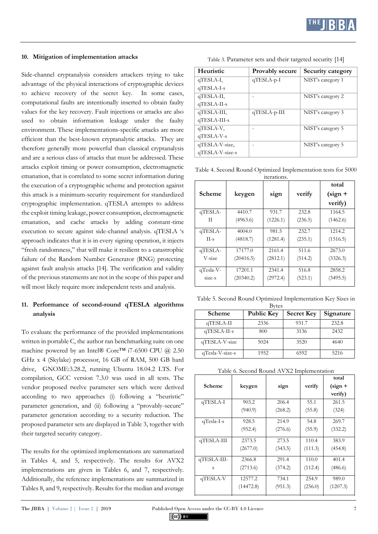

#### **10. Mitigation of implementation attacks**

Side-channel cryptanalysis considers attackers trying to take advantage of the physical interactions of cryptographic devices to achieve recovery of the secret key. In some cases, computational faults are intentionally inserted to obtain faulty values for the key recovery. Fault injections or attacks are also used to obtain information leakage under the faulty environment. These implementations-specific attacks are more efficient than the best-known cryptanalytic attacks. They are therefore generally more powerful than classical cryptanalysis and are a serious class of attacks that must be addressed. These attacks exploit timing or power consumption, electromagnetic emanation, that is correlated to some secret information during the execution of a cryptographic scheme and protection against this attack is a minimum-security requirement for standardized cryptographic implementation. qTESLA attempts to address the exploit timing leakage, power consumption, electromagnetic emanation, and cache attacks by adding constant-time execution to secure against side-channel analysis. qTESLA 's approach indicates that it is in every signing operation, it injects "fresh randomness," that will make it resilient to a catastrophic failure of the Random Number Generator (RNG) protecting against fault analysis attacks [14]. The verification and validity of the previous statements are not in the scope of this paper and will most likely require more independent tests and analysis.

## **11. Performance of second-round qTESLA algorithms analysis**

To evaluate the performance of the provided implementations written in portable C, the author ran benchmarking suite on one machine powered by an Intel® Core<sup>TM</sup> i7-6500 CPU @ 2.50 GHz x 4 (Skylake) processor, 16 GB of RAM, 500 GB hard drive, GNOME:3.28.2, running Ubuntu 18.04.2 LTS. For compilation, GCC version 7.3.0 was used in all tests. The vendor proposed twelve parameter sets which were derived according to two approaches (i) following a "heuristic" parameter generation, and (ii) following a "provably-secure" parameter generation according to a security reduction. The proposed parameter sets are displayed in Table 3, together with their targeted security category.

The results for the optimized implementations are summarized in Tables 4, and 5, respectively. The results for AVX2 implementations are given in Tables 6, and 7, respectively. Additionally, the reference implementations are summarized in Tables 8, and 9, respectively. Results for the median and average

| Heuristic       | Provably secure | Security category |
|-----------------|-----------------|-------------------|
| qTESLA-I,       | $q$ TESLA-p-I   | NIST's category 1 |
| qTESLA-I-s      |                 |                   |
| qTESLA-II,      |                 | NIST's category 2 |
| $q$ TESLA-II-s  |                 |                   |
| qTESLA-III,     | $qTESLA-p-III$  | NIST's category 3 |
| qTESLA-III-s    |                 |                   |
| qTESLA-V,       |                 | NIST's category 5 |
| $qTESLA-V-s$    |                 |                   |
| qTESLA-V-size,  |                 | NIST's category 5 |
| qTESLA-V-size-s |                 |                   |

Table 3. Parameter sets and their targeted security [14]

Table 4. Second Round Optimized Implementation tests for 5000 iterations.

| Scheme    | keygen    | sign     | verify  | total<br>$(sign +$<br>verify) |
|-----------|-----------|----------|---------|-------------------------------|
| qTESLA-   | 4410.7    | 931.7    | 232.8   | 1164.5                        |
| П         | (4963.6)  | (1226.1) | (236.5) | (1462.6)                      |
| qTESLA-   | 4004.0    | 981.5    | 232.7   | 1214.2                        |
| $II-s$    | (4818.7)  | (1281.4) | (235.1) | (1516.5)                      |
| qTESLA-   | 17177.0   | 2161.4   | 511.6   | 2673.0                        |
| V-size    | (20416.5) | (2812.1) | (514.2) | (3326.3)                      |
| qTesla-V- | 17201.1   | 2341.4   | 516.8   | 2858.2                        |
| size-s    | (20340.2) | (2972.4) | (523.1) | (3495.5)                      |

Table 5. Second Round Optimized Implementation Key Sizes in  $D_{n+1}$ 

| Scheme          | DVICS<br><b>Public Key</b> | <b>Secret Key</b> | Signature |
|-----------------|----------------------------|-------------------|-----------|
| qTESLA-II       | 2336                       | 931.7             | 232.8     |
| $qTESLA-II-s$   | 800                        | 3136              | 2432      |
| qTESLA-V-size   | 5024                       | 3520              | 4640      |
| qTesla-V-size-s | 1952                       | 6592              | 5216      |

| Table 6. Second Round AVX2 Implementation |  |
|-------------------------------------------|--|
|-------------------------------------------|--|

|             |           |         |         | total     |
|-------------|-----------|---------|---------|-----------|
| Scheme      | keygen    | sign    | verify  | $(sign +$ |
|             |           |         |         | verify)   |
| qTESLA-I    | 903.2     | 206.4   | 55.1    | 261.5     |
|             | (940.9)   | (268.2) | (55.8)  | (324)     |
| qTesla-I-s  | 928.5     | 214.9   | 54.8    | 269.7     |
|             | (952.4)   | (276.6) | (55.9)  | (332.2)   |
| qTESLA-III  | 2373.5    | 273.5   | 110.4   | 383.9     |
|             | (2677.0)  | (343.5) | (111.3) | (454.8)   |
| qTESLA-III- | 2366.8    | 291.4   | 110.0   | 401.4     |
| S           | (2713.6)  | (374.2) | (112.4) | (486.6)   |
| qTESLA-V    | 12577.2   | 734.1   | 254.9   | 989.0     |
|             | (14472.8) | (951.3) | (256.0) | (1207.3)  |

815.3

256.1

 $(cc)$  BY

<u>as a series of the series of the series of the series of the series of the series of the series of the series of the series of the series of the series of the series of the series of the series of the series of the series</u>

1071*.*4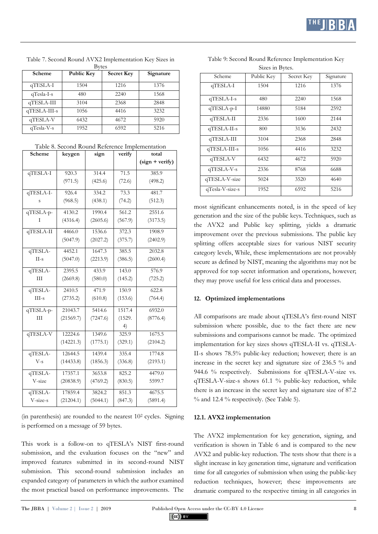| Scheme       | <b>Public Key</b> | <b>Secret Key</b> | Signature |
|--------------|-------------------|-------------------|-----------|
| qTESLA-I     | 1504              | 1216              | 1376      |
| $qTesla-I-s$ | 480               | 2240              | 1568      |
| qTESLA-III   | 3104              | 2368              | 2848      |
| qTESLA-III-s | 1056              | 4416              | 3232      |
| qTESLA-V     | 6432              | 4672              | 5920      |
| $qTesla-V-s$ | 1952              | 6592              | 5216      |

Table 7. Second Round AVX2 Implementation Key Sizes in Bytes

| Table 8. Second Round Reference Implementation |  |
|------------------------------------------------|--|
|------------------------------------------------|--|

| Scheme    | keygen    | sign     | verify  | total             |
|-----------|-----------|----------|---------|-------------------|
|           |           |          |         | $(sign + verify)$ |
| qTESLA-I  | 920.3     | 314.4    | 71.5    | 385.9             |
|           | (971.5)   | (425.6)  | (72.6)  | (498.2)           |
| qTESLA-I- | 926.4     | 334.2    | 73.3    | 481.7             |
| S         | (968.5)   | (438.1)  | (74.2)  | (512.3)           |
| qTESLA-p- | 4130.2    | 1990.4   | 561.2   | 2551.6            |
| Ι         | (4316.4)  | (2605.6) | (567.9) | (3173.5)          |
| qTESLA-II | 4466.0    | 1536.6   | 372.3   | 1908.9            |
|           | (5047.9)  | (2027.2) | (375.7) | (2402.9)          |
| qTESLA-   | 4452.1    | 1647.3   | 385.5   | 2032.8            |
| $II-s$    | (5047.0)  | (2213.9) | (386.5) | (2600.4)          |
| qTESLA-   | 2395.5    | 433.9    | 143.0   | 576.9             |
| Ш         | (2669.8)  | (580.0)  | (145.2) | (725.2)           |
| qTESLA-   | 2410.5    | 471.9    | 150.9   | 622.8             |
| $III-s$   | (2735.2)  | (610.8)  | (153.6) | (764.4)           |
| qTESLA-p- | 21043.7   | 5414.6   | 1517.4  | 6932.0            |
| Ш         | (21569.7) | (7247.6) | (1529.  | (8776.4)          |
|           |           |          | 4)      |                   |
| qTESLA-V  | 12224.6   | 1349.6   | 325.9   | 1675.5            |
|           | (14221.3) | (1775.1) | (329.1) | (2104.2)          |
| qTESLA-   | 12644.5   | 1439.4   | 335.4   | 1774.8            |
| $V-S$     | (14433.8) | (1856.3) | (336.8) | (2193.1)          |
| qTESLA-   | 17357.1   | 3653.8   | 825.2   | 4479.0            |
| V-size    | (20838.9) | (4769.2) | (830.5) | 5599.7            |
| qTESLA-   | 17859.4   | 3824.2   | 851.3   | 4675.5            |
| V-size-s  | (21204.1) | (5044.1) | (847.3) | (5891.4)          |

(in parenthesis) are rounded to the nearest 10<sup>2</sup> cycles. Signing is performed on a message of 59 bytes.

This work is a follow-on to qTESLA's NIST first-round submission, and the evaluation focuses on the "new" and improved features submitted in its second-round NIST submission. This second-round submission includes an expanded category of parameters in which the author examined the most practical based on performance improvements. The

| Scheme          | Public Key | Secret Key | Signature |
|-----------------|------------|------------|-----------|
| qTESLA-I        | 1504       | 1216       | 1376      |
| qTESLA-I-s      | 480        | 2240       | 1568      |
| $q$ TESLA-p-I   | 14880      | 5184       | 2592      |
| qTESLA-II       | 2336       | 1600       | 2144      |
| $qTESLA-II-s$   | 800        | 3136       | 2432      |
| qTESLA-III      | 3104       | 2368       | 2848      |
| $qTESLA-III-s$  | 1056       | 4416       | 3232      |
| qTESLA-V        | 6432       | 4672       | 5920      |
| qTESLA-V-s      | 2336       | 8768       | 6688      |
| qTESLA-V-size   | 5024       | 3520       | 4640      |
| qTesla-V-size-s | 1952       | 6592       | 5216      |

Table 9: Second Round Reference Implementation Key Sizes in Bytes.

most significant enhancements noted, is in the speed of key generation and the size of the public keys. Techniques, such as the AVX2 and Public key splitting, yields a dramatic improvement over the previous submissions. The public key splitting offers acceptable sizes for various NIST security category levels, While, these implementations are not provably secure as defined by NIST, meaning the algorithms may not be approved for top secret information and operations, however; they may prove useful for less critical data and processes.

## **12. Optimized implementations**

All comparisons are made about qTESLA's first-round NIST submission where possible, due to the fact there are new submissions and comparisons cannot be made. The optimized implementation for key sizes shows qTESLA-II vs. qTESLA-II-s shows 78.5% public-key reduction; however; there is an increase in the secret key and signature size of 236.5 % and 944.6 % respectively. Submissions for qTESLA-V-size vs. qTESLA-V-size-s shows 61.1 % public-key reduction, while there is an increase in the secret key and signature size of 87.2 % and 12.4 % respectively. (See Table 5).

## **12.1. AVX2 implementation**

The AVX2 implementation for key generation, signing, and verification is shown in Table 6 and is compared to the new AVX2 and public-key reduction. The tests show that there is a slight increase in key generation time, signature and verification time for all categories of submission when using the public-key reduction techniques, however; these improvements are dramatic compared to the respective timing in all categories in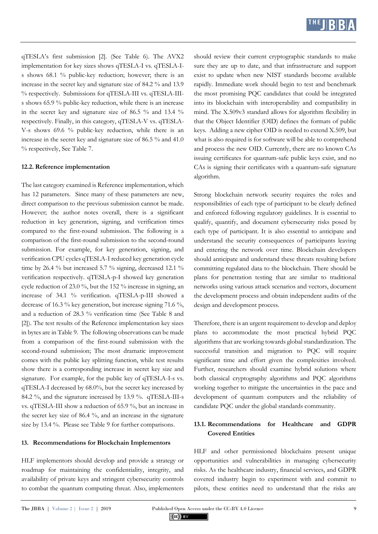

qTESLA's first submission [2]. (See Table 6). The AVX2 implementation for key sizes shows qTESLA-I vs. qTESLA-Is shows 68.1 % public-key reduction; however; there is an increase in the secret key and signature size of 84.2 % and 13.9 % respectively. Submissions for qTESLA-III vs. qTESLA-IIIs shows 65.9 % public-key reduction, while there is an increase in the secret key and signature size of 86.5 % and 13.4 % respectively. Finally, in this category, qTESLA-V vs. qTESLA-V-s shows 69.6 % public-key reduction, while there is an increase in the secret key and signature size of 86.5 % and 41.0 % respectively, See Table 7.

#### **12.2. Reference implementation**

The last category examined is Reference implementation, which has 12 parameters. Since many of these parameters are new, direct comparison to the previous submission cannot be made. However; the author notes overall, there is a significant reduction in key generation, signing, and verification times compared to the first-round submission. The following is a comparison of the first-round submission to the second-round submission. For example, for key generation, signing, and verification CPU cycles qTESLA-I reduced key generation cycle time by 26.4 % but increased 5.7 % signing, decreased 12.1 % verification respectively. qTESLA-p-I showed key generation cycle reduction of 23.0 %, but the 152 % increase in signing, an increase of 34.1 % verification. qTESLA-p-III showed a decrease of 16.3 % key generation, but increase signing 71.6 %, and a reduction of 28.3 % verification time (See Table 8 and [2]). The test results of the Reference implementation key sizes in bytes are in Table 9. The following observations can be made from a comparison of the first-round submission with the second-round submission; The most dramatic improvement comes with the public key splitting function, while test results show there is a corresponding increase in secret key size and signature. For example, for the public key of qTESLA-I-s vs. qTESLA-I decreased by 68.0%, but the secret key increased by 84.2 %, and the signature increased by 13.9 %. qTESLA-III-s vs. qTESLA-III show a reduction of 65.9 %, but an increase in the secret key size of 86.4 %, and an increase in the signature size by 13.4 %. Please see Table 9 for further comparisons.

#### **13. Recommendations for Blockchain Implementors**

HLF implementors should develop and provide a strategy or roadmap for maintaining the confidentiality, integrity, and availability of private keys and stringent cybersecurity controls to combat the quantum computing threat. Also, implementers should review their current cryptographic standards to make sure they are up to date, and that infrastructure and support exist to update when new NIST standards become available rapidly. Immediate work should begin to test and benchmark the most promising PQC candidates that could be integrated into its blockchain with interoperability and compatibility in mind. The X.509v3 standard allows for algorithm flexibility in that the Object Identifier (OID) defines the formats of public keys. Adding a new cipher OID is needed to extend X.509, but what is also required is for software will be able to comprehend and process the new OID. Currently, there are no known CAs issuing certificates for quantum-safe public keys exist, and no CAs is signing their certificates with a quantum-safe signature algorithm.

Strong blockchain network security requires the roles and responsibilities of each type of participant to be clearly defined and enforced following regulatory guidelines. It is essential to qualify, quantify, and document cybersecurity risks posed by each type of participant. It is also essential to anticipate and understand the security consequences of participants leaving and entering the network over time. Blockchain developers should anticipate and understand these threats resulting before committing regulated data to the blockchain. There should be plans for penetration testing that are similar to traditional networks using various attack scenarios and vectors, document the development process and obtain independent audits of the design and development process.

Therefore, there is an urgent requirement to develop and deploy plans to accommodate the most practical hybrid PQC algorithms that are working towards global standardization. The successful transition and migration to PQC will require significant time and effort given the complexities involved. Further, researchers should examine hybrid solutions where both classical cryptography algorithms and PQC algorithms working together to mitigate the uncertainties in the pace and development of quantum computers and the reliability of candidate PQC under the global standards community.

## **13.1. Recommendations for Healthcare and GDPR Covered Entities**

HLF and other permissioned blockchains present unique opportunities and vulnerabilities in managing cybersecurity risks. As the healthcare industry, financial services, and GDPR covered industry begin to experiment with and commit to pilots, these entities need to understand that the risks are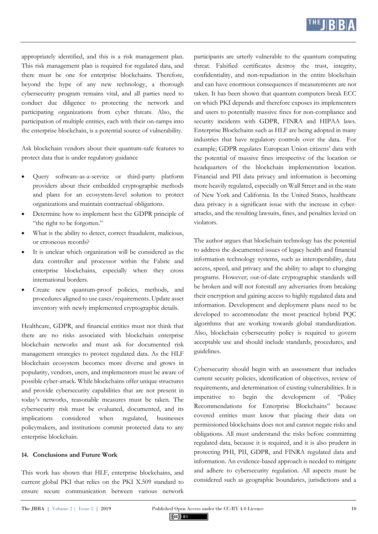

appropriately identified, and this is a risk management plan. This risk management plan is required for regulated data, and there must be one for enterprise blockchains. Therefore, beyond the hype of any new technology, a thorough cybersecurity program remains vital, and all parties need to conduct due diligence to protecting the network and participating organizations from cyber threats. Also, the participation of multiple entities, each with their on-ramps into the enterprise blockchain, is a potential source of vulnerability.

Ask blockchain vendors about their quantum-safe features to protect data that is under regulatory guidance

- Query software-as-a-service or third-party platform providers about their embedded cryptographic methods and plans for an ecosystem-level solution to protect organizations and maintain contractual obligations.
- Determine how to implement best the GDPR principle of "the right to be forgotten."
- What is the ability to detect, correct fraudulent, malicious, or erroneous records?
- It is unclear which organization will be considered as the data controller and processor within the Fabric and enterprise blockchains, especially when they cross international borders.
- Create new quantum-proof policies, methods, and procedures aligned to use cases/requirements. Update asset inventory with newly implemented cryptographic details.

Healthcare, GDPR, and financial entities must not think that there are no risks associated with blockchain enterprise blockchain networks and must ask for documented risk management strategies to protect regulated data. As the HLF blockchain ecosystem becomes more diverse and grows in popularity, vendors, users, and implementors must be aware of possible cyber-attack. While blockchains offer unique structures and provide cybersecurity capabilities that are not present in today's networks, reasonable measures must be taken. The cybersecurity risk must be evaluated, documented, and its implications considered when regulated, businesses policymakers, and institutions commit protected data to any enterprise blockchain.

#### **14. Conclusions and Future Work**

This work has shown that HLF, enterprise blockchains, and current global PKI that relies on the PKI X.509 standard to ensure secure communication between various network

participants are utterly vulnerable to the quantum computing threat. Falsified certificates destroy the trust, integrity, confidentiality, and non-repudiation in the entire blockchain and can have enormous consequences if measurements are not taken. It has been shown that quantum computers break ECC on which PKI depends and therefore exposes its implementers and users to potentially massive fines for non-compliance and security incidents with GDPR, FINRA and HIPAA laws. Enterprise Blockchains such as HLF are being adopted in many industries that have regulatory controls over the data. For example; GDPR regulates European Union citizens' data with the potential of massive fines irrespective of the location or headquarters of the blockchain implementation location. Financial and PII data privacy and information is becoming more heavily regulated, especially on Wall Street and in the state of New York and California. In the United States, healthcare data privacy is a significant issue with the increase in cyberattacks, and the resulting lawsuits, fines, and penalties levied on violators.

The author argues that blockchain technology has the potential to address the documented issues of legacy health and financial information technology systems, such as interoperability, data access, speed, and privacy and the ability to adapt to changing programs. However; out-of-date cryptographic standards will be broken and will not forestall any adversaries from breaking their encryption and gaining access to highly regulated data and information. Development and deployment plans need to be developed to accommodate the most practical hybrid PQC algorithms that are working towards global standardization. Also, blockchain cybersecurity policy is required to govern acceptable use and should include standards, procedures, and guidelines.

Cybersecurity should begin with an assessment that includes current security policies, identification of objectives, review of requirements, and determination of existing vulnerabilities. It is imperative to begin the development of "Policy Recommendations for Enterprise Blockchains" because covered entities must know that placing their data on permissioned blockchains does not and cannot negate risks and obligations. All must understand the risks before committing regulated data, because it is required, and it is also prudent in protecting PHI, PII, GDPR, and FINRA regulated data and information. An evidence-based approach is needed to mitigate and adhere to cybersecurity regulation. All aspects must be considered such as geographic boundaries, jurisdictions and a